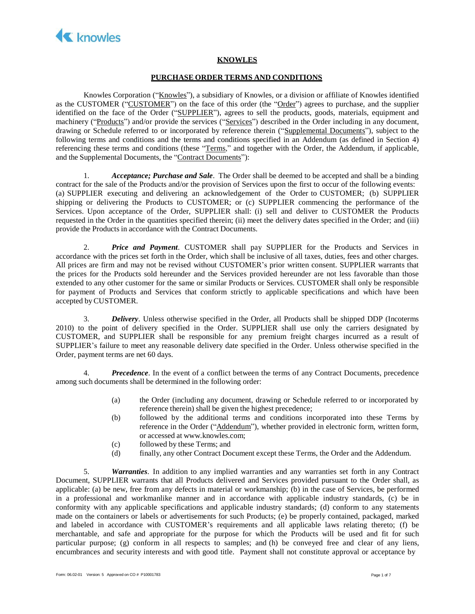

### **KNOWLES**

#### **PURCHASE ORDER TERMS AND CONDITIONS**

Knowles Corporation ("Knowles"), a subsidiary of Knowles, or a division or affiliate of Knowles identified as the CUSTOMER ("CUSTOMER") on the face of this order (the "Order") agrees to purchase, and the supplier identified on the face of the Order ("SUPPLIER"), agrees to sell the products, goods, materials, equipment and machinery ("Products") and/or provide the services ("Services") described in the Order including in any document, drawing or Schedule referred to or incorporated by reference therein ("Supplemental Documents"), subject to the following terms and conditions and the terms and conditions specified in an Addendum (as defined in Section [4\)](#page-0-0) referencing these terms and conditions (these "Terms," and together with the Order, the Addendum, if applicable, and the Supplemental Documents, the "Contract Documents"):

1. *Acceptance; Purchase and Sale*. The Order shall be deemed to be accepted and shall be a binding contract for the sale of the Products and/or the provision of Services upon the first to occur of the following events: (a) SUPPLIER executing and delivering an acknowledgement of the Order to CUSTOMER; (b) SUPPLIER shipping or delivering the Products to CUSTOMER; or (c) SUPPLIER commencing the performance of the Services. Upon acceptance of the Order, SUPPLIER shall: (i) sell and deliver to CUSTOMER the Products requested in the Order in the quantities specified therein; (ii) meet the delivery dates specified in the Order; and (iii) provide the Products in accordance with the Contract Documents.

2. *Price and Payment*. CUSTOMER shall pay SUPPLIER for the Products and Services in accordance with the prices set forth in the Order, which shall be inclusive of all taxes, duties, fees and other charges. All prices are firm and may not be revised without CUSTOMER's prior written consent. SUPPLIER warrants that the prices for the Products sold hereunder and the Services provided hereunder are not less favorable than those extended to any other customer for the same or similar Products or Services. CUSTOMER shall only be responsible for payment of Products and Services that conform strictly to applicable specifications and which have been accepted byCUSTOMER.

3. *Delivery*. Unless otherwise specified in the Order, all Products shall be shipped DDP (Incoterms 2010) to the point of delivery specified in the Order. SUPPLIER shall use only the carriers designated by CUSTOMER, and SUPPLIER shall be responsible for any premium freight charges incurred as a result of SUPPLIER's failure to meet any reasonable delivery date specified in the Order. Unless otherwise specified in the Order, payment terms are net 60 days.

<span id="page-0-0"></span>4. *Precedence*. In the event of a conflict between the terms of any Contract Documents, precedence among such documents shall be determined in the following order:

- (a) the Order (including any document, drawing or Schedule referred to or incorporated by reference therein) shall be given the highest precedence;
- (b) followed by the additional terms and conditions incorporated into these Terms by reference in the Order ("Addendum"), whether provided in electronic form, written form, or accessed at www.knowles.com;
- (c) followed by these Terms; and
- (d) finally, any other Contract Document except these Terms, the Order and the Addendum.

5. *Warranties*. In addition to any implied warranties and any warranties set forth in any Contract Document, SUPPLIER warrants that all Products delivered and Services provided pursuant to the Order shall, as applicable: (a) be new, free from any defects in material or workmanship; (b) in the case of Services, be performed in a professional and workmanlike manner and in accordance with applicable industry standards, (c) be in conformity with any applicable specifications and applicable industry standards; (d) conform to any statements made on the containers or labels or advertisements for such Products; (e) be properly contained, packaged, marked and labeled in accordance with CUSTOMER's requirements and all applicable laws relating thereto; (f) be merchantable, and safe and appropriate for the purpose for which the Products will be used and fit for such particular purpose; (g) conform in all respects to samples; and (h) be conveyed free and clear of any liens, encumbrances and security interests and with good title. Payment shall not constitute approval or acceptance by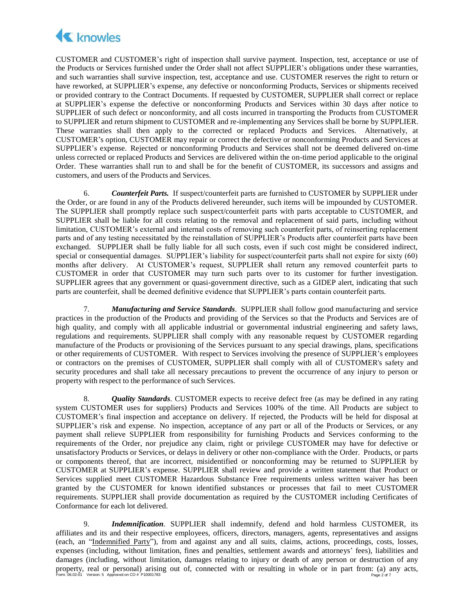

CUSTOMER and CUSTOMER's right of inspection shall survive payment. Inspection, test, acceptance or use of the Products or Services furnished under the Order shall not affect SUPPLIER's obligations under these warranties, and such warranties shall survive inspection, test, acceptance and use. CUSTOMER reserves the right to return or have reworked, at SUPPLIER's expense, any defective or nonconforming Products, Services or shipments received or provided contrary to the Contract Documents. If requested by CUSTOMER, SUPPLIER shall correct or replace at SUPPLIER's expense the defective or nonconforming Products and Services within 30 days after notice to SUPPLIER of such defect or nonconformity, and all costs incurred in transporting the Products from CUSTOMER to SUPPLIER and return shipment to CUSTOMER and re-implementing any Services shall be borne by SUPPLIER. These warranties shall then apply to the corrected or replaced Products and Services. Alternatively, at CUSTOMER's option, CUSTOMER may repair or correct the defective or nonconforming Products and Services at SUPPLIER's expense. Rejected or nonconforming Products and Services shall not be deemed delivered on-time unless corrected or replaced Products and Services are delivered within the on-time period applicable to the original Order. These warranties shall run to and shall be for the benefit of CUSTOMER, its successors and assigns and customers, and users of the Products and Services.

6. *Counterfeit Parts.* If suspect/counterfeit parts are furnished to CUSTOMER by SUPPLIER under the Order, or are found in any of the Products delivered hereunder, such items will be impounded by CUSTOMER. The SUPPLIER shall promptly replace such suspect/counterfeit parts with parts acceptable to CUSTOMER, and SUPPLIER shall be liable for all costs relating to the removal and replacement of said parts, including without limitation, CUSTOMER's external and internal costs of removing such counterfeit parts, of reinserting replacement parts and of any testing necessitated by the reinstallation of SUPPLIER's Products after counterfeit parts have been exchanged. SUPPLIER shall be fully liable for all such costs, even if such cost might be considered indirect, special or consequential damages. SUPPLIER's liability for suspect/counterfeit parts shall not expire for sixty (60) months after delivery. At CUSTOMER's request, SUPPLIER shall return any removed counterfeit parts to CUSTOMER in order that CUSTOMER may turn such parts over to its customer for further investigation. SUPPLIER agrees that any government or quasi-government directive, such as a GIDEP alert, indicating that such parts are counterfeit, shall be deemed definitive evidence that SUPPLIER's parts contain counterfeit parts.

7. *Manufacturing and Service Standards*. SUPPLIER shall follow good manufacturing and service practices in the production of the Products and providing of the Services so that the Products and Services are of high quality, and comply with all applicable industrial or governmental industrial engineering and safety laws, regulations and requirements. SUPPLIER shall comply with any reasonable request by CUSTOMER regarding manufacture of the Products or provisioning of the Services pursuant to any special drawings, plans, specifications or other requirements of CUSTOMER. With respect to Services involving the presence of SUPPLIER's employees or contractors on the premises of CUSTOMER, SUPPLIER shall comply with all of CUSTOMER's safety and security procedures and shall take all necessary precautions to prevent the occurrence of any injury to person or property with respect to the performance of such Services.

8. *Quality Standards*. CUSTOMER expects to receive defect free (as may be defined in any rating system CUSTOMER uses for suppliers) Products and Services 100% of the time. All Products are subject to CUSTOMER's final inspection and acceptance on delivery. If rejected, the Products will be held for disposal at SUPPLIER's risk and expense. No inspection, acceptance of any part or all of the Products or Services, or any payment shall relieve SUPPLIER from responsibility for furnishing Products and Services conforming to the requirements of the Order, nor prejudice any claim, right or privilege CUSTOMER may have for defective or unsatisfactory Products or Services, or delays in delivery or other non-compliance with the Order. Products, or parts or components thereof, that are incorrect, misidentified or nonconforming may be returned to SUPPLIER by CUSTOMER at SUPPLIER's expense. SUPPLIER shall review and provide a written statement that Product or Services supplied meet CUSTOMER Hazardous Substance Free requirements unless written waiver has been granted by the CUSTOMER for known identified substances or processes that fail to meet CUSTOMER requirements. SUPPLIER shall provide documentation as required by the CUSTOMER including Certificates of Conformance for each lot delivered.

<span id="page-1-0"></span>property, real or personal) arising out of, connected with or resulting in whole or in part from: (a) any acts,<br>Form: 06.02-01 Version: 5 Approved on CO # P10001783 9. *Indemnification*. SUPPLIER shall indemnify, defend and hold harmless CUSTOMER, its affiliates and its and their respective employees, officers, directors, managers, agents, representatives and assigns (each, an "Indemnified Party"), from and against any and all suits, claims, actions, proceedings, costs, losses, expenses (including, without limitation, fines and penalties, settlement awards and attorneys' fees), liabilities and damages (including, without limitation, damages relating to injury or death of any person or destruction of any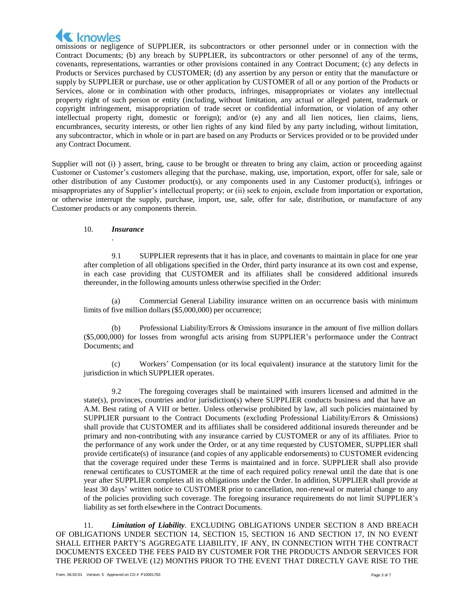

omissions or negligence of SUPPLIER, its subcontractors or other personnel under or in connection with the Contract Documents; (b) any breach by SUPPLIER, its subcontractors or other personnel of any of the terms, covenants, representations, warranties or other provisions contained in any Contract Document; (c) any defects in Products or Services purchased by CUSTOMER; (d) any assertion by any person or entity that the manufacture or supply by SUPPLIER or purchase, use or other application by CUSTOMER of all or any portion of the Products or Services, alone or in combination with other products, infringes, misappropriates or violates any intellectual property right of such person or entity (including, without limitation, any actual or alleged patent, trademark or copyright infringement, misappropriation of trade secret or confidential information, or violation of any other intellectual property right, domestic or foreign); and/or (e) any and all lien notices, lien claims, liens, encumbrances, security interests, or other lien rights of any kind filed by any party including, without limitation, any subcontractor, which in whole or in part are based on any Products or Services provided or to be provided under any Contract Document.

Supplier will not (i) ) assert, bring, cause to be brought or threaten to bring any claim, action or proceeding against Customer or Customer's customers alleging that the purchase, making, use, importation, export, offer for sale, sale or other distribution of any Customer product(s), or any components used in any Customer product(s), infringes or misappropriates any of Supplier's intellectual property; or (ii) seek to enjoin, exclude from importation or exportation, or otherwise interrupt the supply, purchase, import, use, sale, offer for sale, distribution, or manufacture of any Customer products or any components therein.

#### 10. *Insurance* .

9.1 SUPPLIER represents that it has in place, and covenants to maintain in place for one year after completion of all obligations specified in the Order, third party insurance at its own cost and expense, in each case providing that CUSTOMER and its affiliates shall be considered additional insureds thereunder, in the following amounts unless otherwise specified in the Order:

(a) Commercial General Liability insurance written on an occurrence basis with minimum limits of five million dollars (\$5,000,000) per occurrence;

(b) Professional Liability/Errors & Omissions insurance in the amount of five million dollars (\$5,000,000) for losses from wrongful acts arising from SUPPLIER's performance under the Contract Documents; and

(c) Workers' Compensation (or its local equivalent) insurance at the statutory limit for the jurisdiction in which SUPPLIER operates.

9.2 The foregoing coverages shall be maintained with insurers licensed and admitted in the state(s), provinces, countries and/or jurisdiction(s) where SUPPLIER conducts business and that have an A.M. Best rating of A VIII or better. Unless otherwise prohibited by law, all such policies maintained by SUPPLIER pursuant to the Contract Documents (excluding Professional Liability/Errors & Omissions) shall provide that CUSTOMER and its affiliates shall be considered additional insureds thereunder and be primary and non-contributing with any insurance carried by CUSTOMER or any of its affiliates. Prior to the performance of any work under the Order, or at any time requested by CUSTOMER, SUPPLIER shall provide certificate(s) of insurance (and copies of any applicable endorsements) to CUSTOMER evidencing that the coverage required under these Terms is maintained and in force. SUPPLIER shall also provide renewal certificates to CUSTOMER at the time of each required policy renewal until the date that is one year after SUPPLIER completes all its obligations under the Order. In addition, SUPPLIER shall provide at least 30 days' written notice to CUSTOMER prior to cancellation, non-renewal or material change to any of the policies providing such coverage. The foregoing insurance requirements do not limit SUPPLIER's liability as set forth elsewhere in the Contract Documents.

11. *Limitation of Liability*. EXCLUDING OBLIGATIONS UNDER SECTION [8](#page-1-0) AND BREACH OF OBLIGATIONS UNDER SECTION [14,](#page-3-0) SECTION 15, SECTION 16 AND SECTION 17, IN NO EVENT SHALL EITHER PARTY'S AGGREGATE LIABILITY, IF ANY, IN CONNECTION WITH THE CONTRACT DOCUMENTS EXCEED THE FEES PAID BY CUSTOMER FOR THE PRODUCTS AND/OR SERVICES FOR THE PERIOD OF TWELVE (12) MONTHS PRIOR TO THE EVENT THAT DIRECTLY GAVE RISE TO THE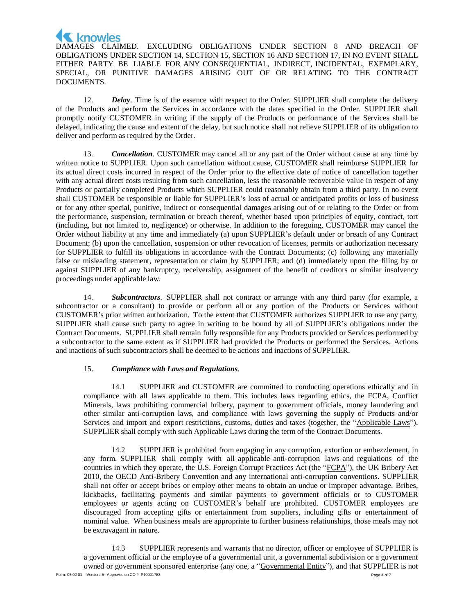# knowles

DAMAGES CLAIMED. EXCLUDING OBLIGATIONS UNDER SECTION [8](#page-1-0) AND BREACH OF OBLIGATIONS UNDER SECTION [14,](#page-3-0) SECTION 15, SECTION 16 AND SECTION 17, IN NO EVENT SHALL EITHER PARTY BE LIABLE FOR ANY CONSEQUENTIAL, INDIRECT, INCIDENTAL, EXEMPLARY, SPECIAL, OR PUNITIVE DAMAGES ARISING OUT OF OR RELATING TO THE CONTRACT DOCUMENTS.

12. *Delay*. Time is of the essence with respect to the Order. SUPPLIER shall complete the delivery of the Products and perform the Services in accordance with the dates specified in the Order. SUPPLIER shall promptly notify CUSTOMER in writing if the supply of the Products or performance of the Services shall be delayed, indicating the cause and extent of the delay, but such notice shall not relieve SUPPLIER of its obligation to deliver and perform as required by the Order.

13. *Cancellation*. CUSTOMER may cancel all or any part of the Order without cause at any time by written notice to SUPPLIER. Upon such cancellation without cause, CUSTOMER shall reimburse SUPPLIER for its actual direct costs incurred in respect of the Order prior to the effective date of notice of cancellation together with any actual direct costs resulting from such cancellation, less the reasonable recoverable value in respect of any Products or partially completed Products which SUPPLIER could reasonably obtain from a third party. In no event shall CUSTOMER be responsible or liable for SUPPLIER's loss of actual or anticipated profits or loss of business or for any other special, punitive, indirect or consequential damages arising out of or relating to the Order or from the performance, suspension, termination or breach thereof, whether based upon principles of equity, contract, tort (including, but not limited to, negligence) or otherwise. In addition to the foregoing, CUSTOMER may cancel the Order without liability at any time and immediately (a) upon SUPPLIER's default under or breach of any Contract Document; (b) upon the cancellation, suspension or other revocation of licenses, permits or authorization necessary for SUPPLIER to fulfill its obligations in accordance with the Contract Documents; (c) following any materially false or misleading statement, representation or claim by SUPPLIER; and (d) immediately upon the filing by or against SUPPLIER of any bankruptcy, receivership, assignment of the benefit of creditors or similar insolvency proceedings under applicable law.

14. *Subcontractors*. SUPPLIER shall not contract or arrange with any third party (for example, a subcontractor or a consultant) to provide or perform all or any portion of the Products or Services without CUSTOMER's prior written authorization. To the extent that CUSTOMER authorizes SUPPLIER to use any party, SUPPLIER shall cause such party to agree in writing to be bound by all of SUPPLIER's obligations under the Contract Documents. SUPPLIER shall remain fully responsible for any Products provided or Services performed by a subcontractor to the same extent as if SUPPLIER had provided the Products or performed the Services. Actions and inactions of such subcontractors shall be deemed to be actions and inactions of SUPPLIER.

## <span id="page-3-0"></span>15. *Compliance with Laws and Regulations*.

14.1 SUPPLIER and CUSTOMER are committed to conducting operations ethically and in compliance with all laws applicable to them. This includes laws regarding ethics, the FCPA, Conflict Minerals, laws prohibiting commercial bribery, payment to government officials, money laundering and other similar anti-corruption laws, and compliance with laws governing the supply of Products and/or Services and import and export restrictions, customs, duties and taxes (together, the "Applicable Laws"). SUPPLIER shall comply with such Applicable Laws during the term of the Contract Documents.

14.2 SUPPLIER is prohibited from engaging in any corruption, extortion or embezzlement, in any form. SUPPLIER shall comply with all applicable anti-corruption laws and regulations of the countries in which they operate, the U.S. Foreign Corrupt Practices Act (the "FCPA"), the UK Bribery Act 2010, the OECD Anti-Bribery Convention and any international anti-corruption conventions. SUPPLIER shall not offer or accept bribes or employ other means to obtain an undue or improper advantage. Bribes, kickbacks, facilitating payments and similar payments to government officials or to CUSTOMER employees or agents acting on CUSTOMER's behalf are prohibited. CUSTOMER employees are discouraged from accepting gifts or entertainment from suppliers, including gifts or entertainment of nominal value. When business meals are appropriate to further business relationships, those meals may not be extravagant in nature.

Form: 06.02-01 Version: 5 Approved on CO # P10001783 Page 4 of 7 14.3 SUPPLIER represents and warrants that no director, officer or employee of SUPPLIER is a government official or the employee of a governmental unit, a governmental subdivision or a government owned or government sponsored enterprise (any one, a "Governmental Entity"), and that SUPPLIER is not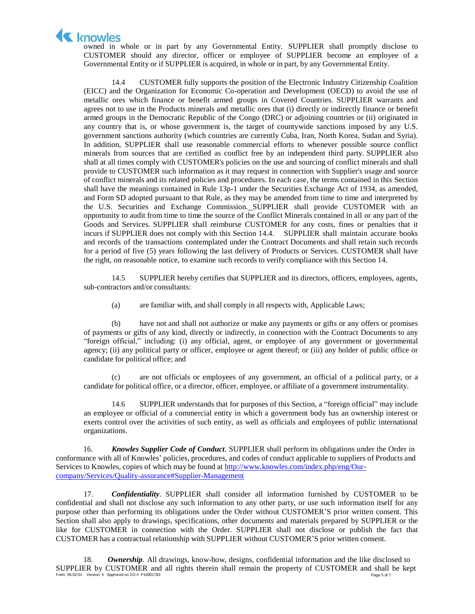

owned in whole or in part by any Governmental Entity. SUPPLIER shall promptly disclose to CUSTOMER should any director, officer or employee of SUPPLIER become an employee of a Governmental Entity or if SUPPLIER is acquired, in whole or in part, by any Governmental Entity.

<span id="page-4-0"></span>14.4 CUSTOMER fully supports the position of the Electronic Industry Citizenship Coalition (EICC) and the Organization for Economic Co-operation and Development (OECD) to avoid the use of metallic ores which finance or benefit armed groups in Covered Countries. SUPPLIER warrants and agrees not to use in the Products minerals and metallic ores that (i) directly or indirectly finance or benefit armed groups in the Democratic Republic of the Congo (DRC) or adjoining countries or (ii) originated in any country that is, or whose government is, the target of countywide sanctions imposed by any U.S. government sanctions authority (which countries are currently Cuba, Iran, North Korea, Sudan and Syria). In addition, SUPPLIER shall use reasonable commercial efforts to whenever possible source conflict minerals from sources that are certified as conflict free by an independent third party. SUPPLIER also shall at all times comply with CUSTOMER's policies on the use and sourcing of conflict minerals and shall provide to CUSTOMER such information as it may request in connection with Supplier's usage and source of conflict minerals and its related policies and procedures. In each case, the terms contained in this Section shall have the meanings contained in Rule 13p-1 under the Securities Exchange Act of 1934, as amended, and Form SD adopted pursuant to that Rule, as they may be amended from time to time and interpreted by the U.S. Securities and Exchange Commission. SUPPLIER shall provide CUSTOMER with an opportunity to audit from time to time the source of the Conflict Minerals contained in all or any part of the Goods and Services. SUPPLIER shall reimburse CUSTOMER for any costs, fines or penalties that it incurs if SUPPLIER does not comply with this Section [14.4.](#page-4-0) SUPPLIER shall maintain accurate books and records of the transactions contemplated under the Contract Documents and shall retain such records for a period of five (5) years following the last delivery of Products or Services. CUSTOMER shall have the right, on reasonable notice, to examine such records to verify compliance with this Section 14.

14.5 SUPPLIER hereby certifies that SUPPLIER and its directors, officers, employees, agents, sub-contractors and/or consultants:

(a) are familiar with, and shall comply in all respects with, Applicable Laws;

(b) have not and shall not authorize or make any payments or gifts or any offers or promises of payments or gifts of any kind, directly or indirectly, in connection with the Contract Documents to any "foreign official," including: (i) any official, agent, or employee of any government or governmental agency; (ii) any political party or officer, employee or agent thereof; or (iii) any holder of public office or candidate for political office; and

(c) are not officials or employees of any government, an official of a political party, or a candidate for political office, or a director, officer, employee, or affiliate of a government instrumentality.

14.6 SUPPLIER understands that for purposes of this Section, a "foreign official" may include an employee or official of a commercial entity in which a government body has an ownership interest or exerts control over the activities of such entity, as well as officials and employees of public international organizations.

16. *Knowles Supplier Code of Conduct*. SUPPLIER shall perform its obligations under the Order in conformance with all of Knowles' policies, procedures, and codes of conduct applicable to suppliers of Products and Services to Knowles, copies of which may be found at [http://www.knowles.com/index.php/eng/Our](http://www.knowles.com/index.php/eng/Our-company/Services/Quality-assurance%23Supplier-Management)[company/Services/Quality-assurance#Supplier-Management](http://www.knowles.com/index.php/eng/Our-company/Services/Quality-assurance%23Supplier-Management)

17. *Confidentiality*. SUPPLIER shall consider all information furnished by CUSTOMER to be confidential and shall not disclose any such information to any other party, or use such information itself for any purpose other than performing its obligations under the Order without CUSTOMER'S prior written consent. This Section shall also apply to drawings, specifications, other documents and materials prepared by SUPPLIER or the like for CUSTOMER in connection with the Order. SUPPLIER shall not disclose or publish the fact that CUSTOMER has a contractual relationship with SUPPLIER without CUSTOMER'S prior written consent.

Form: 06.02-01 Version: 5 Approved on CO # P10001783 18. *Ownership*. All drawings, know-how, designs, confidential information and the like disclosed to SUPPLIER by CUSTOMER and all rights therein shall remain the property of CUSTOMER and shall be kept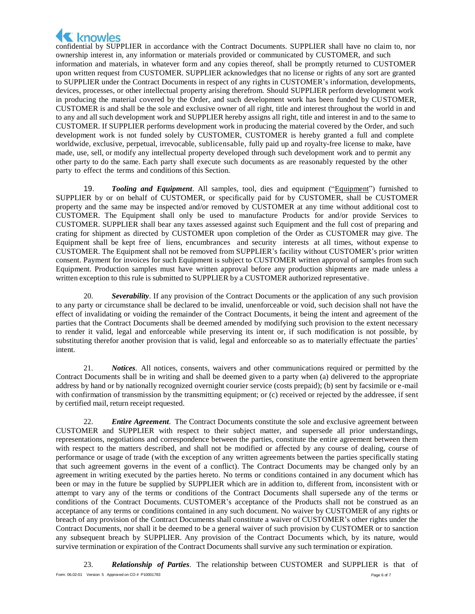

confidential by SUPPLIER in accordance with the Contract Documents. SUPPLIER shall have no claim to, nor ownership interest in, any information or materials provided or communicated by CUSTOMER, and such information and materials, in whatever form and any copies thereof, shall be promptly returned to CUSTOMER upon written request from CUSTOMER. SUPPLIER acknowledges that no license or rights of any sort are granted to SUPPLIER under the Contract Documents in respect of any rights in CUSTOMER's information, developments, devices, processes, or other intellectual property arising therefrom. Should SUPPLIER perform development work in producing the material covered by the Order, and such development work has been funded by CUSTOMER, CUSTOMER is and shall be the sole and exclusive owner of all right, title and interest throughout the world in and to any and all such development work and SUPPLIER hereby assigns all right, title and interest in and to the same to CUSTOMER. If SUPPLIER performs development work in producing the material covered by the Order, and such development work is not funded solely by CUSTOMER, CUSTOMER is hereby granted a full and complete worldwide, exclusive, perpetual, irrevocable, sublicensable, fully paid up and royalty-free license to make, have made, use, sell, or modify any intellectual property developed through such development work and to permit any other party to do the same. Each party shall execute such documents as are reasonably requested by the other party to effect the terms and conditions of this Section.

19. *Tooling and Equipment*. All samples, tool, dies and equipment ("Equipment") furnished to SUPPLIER by or on behalf of CUSTOMER, or specifically paid for by CUSTOMER, shall be CUSTOMER property and the same may be inspected and/or removed by CUSTOMER at any time without additional cost to CUSTOMER. The Equipment shall only be used to manufacture Products for and/or provide Services to CUSTOMER. SUPPLIER shall bear any taxes assessed against such Equipment and the full cost of preparing and crating for shipment as directed by CUSTOMER upon completion of the Order as CUSTOMER may give. The Equipment shall be kept free of liens, encumbrances and security interests at all times, without expense to CUSTOMER. The Equipment shall not be removed from SUPPLIER's facility without CUSTOMER's prior written consent. Payment for invoices for such Equipment is subject to CUSTOMER written approval of samples from such Equipment. Production samples must have written approval before any production shipments are made unless a written exception to this rule is submitted to SUPPLIER by a CUSTOMER authorized representative.

20. *Severability*. If any provision of the Contract Documents or the application of any such provision to any party or circumstance shall be declared to be invalid, unenforceable or void, such decision shall not have the effect of invalidating or voiding the remainder of the Contract Documents, it being the intent and agreement of the parties that the Contract Documents shall be deemed amended by modifying such provision to the extent necessary to render it valid, legal and enforceable while preserving its intent or, if such modification is not possible, by substituting therefor another provision that is valid, legal and enforceable so as to materially effectuate the parties' intent.

21. *Notices*. All notices, consents, waivers and other communications required or permitted by the Contract Documents shall be in writing and shall be deemed given to a party when (a) delivered to the appropriate address by hand or by nationally recognized overnight courier service (costs prepaid); (b) sent by facsimile or e-mail with confirmation of transmission by the transmitting equipment; or (c) received or rejected by the addressee, if sent by certified mail, return receipt requested.

22. *Entire Agreement*. The Contract Documents constitute the sole and exclusive agreement between CUSTOMER and SUPPLIER with respect to their subject matter, and supersede all prior understandings, representations, negotiations and correspondence between the parties, constitute the entire agreement between them with respect to the matters described, and shall not be modified or affected by any course of dealing, course of performance or usage of trade (with the exception of any written agreements between the parties specifically stating that such agreement governs in the event of a conflict). The Contract Documents may be changed only by an agreement in writing executed by the parties hereto. No terms or conditions contained in any document which has been or may in the future be supplied by SUPPLIER which are in addition to, different from, inconsistent with or attempt to vary any of the terms or conditions of the Contract Documents shall supersede any of the terms or conditions of the Contract Documents. CUSTOMER's acceptance of the Products shall not be construed as an acceptance of any terms or conditions contained in any such document. No waiver by CUSTOMER of any rights or breach of any provision of the Contract Documents shall constitute a waiver of CUSTOMER's other rights under the Contract Documents, nor shall it be deemed to be a general waiver of such provision by CUSTOMER or to sanction any subsequent breach by SUPPLIER. Any provision of the Contract Documents which, by its nature, would survive termination or expiration of the Contract Documents shall survive any such termination or expiration.

Form: 06.02-01 Version: 5 Approved on CO # P10001783 Page 6 of 7 23. *Relationship of Parties*. The relationship between CUSTOMER and SUPPLIER is that of